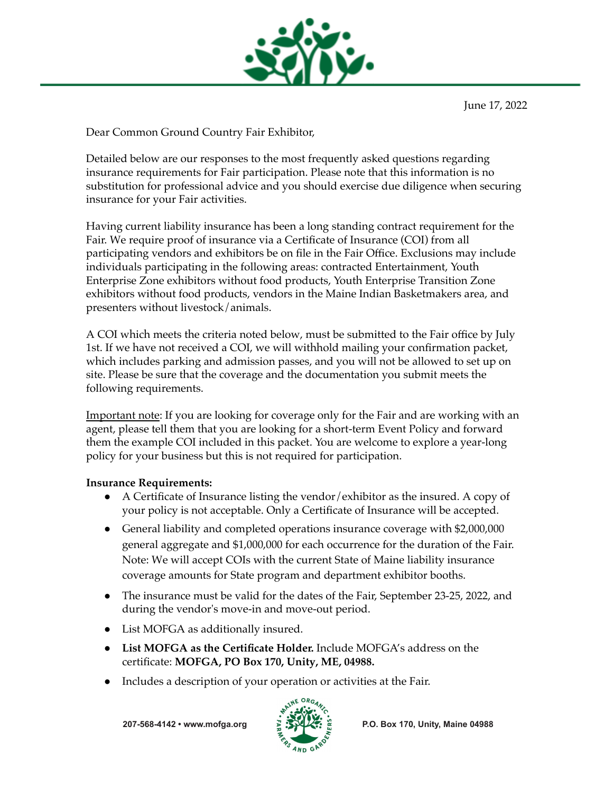

June 17, 2022

Dear Common Ground Country Fair Exhibitor,

Detailed below are our responses to the most frequently asked questions regarding insurance requirements for Fair participation. Please note that this information is no substitution for professional advice and you should exercise due diligence when securing insurance for your Fair activities.

Having current liability insurance has been a long standing contract requirement for the Fair. We require proof of insurance via a Certificate of Insurance (COI) from all participating vendors and exhibitors be on file in the Fair Office. Exclusions may include individuals participating in the following areas: contracted Entertainment, Youth Enterprise Zone exhibitors without food products, Youth Enterprise Transition Zone exhibitors without food products, vendors in the Maine Indian Basketmakers area, and presenters without livestock/animals.

A COI which meets the criteria noted below, must be submitted to the Fair office by July 1st. If we have not received a COI, we will withhold mailing your confirmation packet, which includes parking and admission passes, and you will not be allowed to set up on site. Please be sure that the coverage and the documentation you submit meets the following requirements.

Important note: If you are looking for coverage only for the Fair and are working with an agent, please tell them that you are looking for a short-term Event Policy and forward them the example COI included in this packet. You are welcome to explore a year-long policy for your business but this is not required for participation.

## **Insurance Requirements:**

- A Certificate of Insurance listing the vendor/exhibitor as the insured. A copy of your policy is not acceptable. Only a Certificate of Insurance will be accepted.
- General liability and completed operations insurance coverage with \$2,000,000 general aggregate and \$1,000,000 for each occurrence for the duration of the Fair. Note: We will accept COIs with the current State of Maine liability insurance coverage amounts for State program and department exhibitor booths.
- The insurance must be valid for the dates of the Fair, September 23-25, 2022, and during the vendor's move-in and move-out period.
- List MOFGA as additionally insured.
- **List MOFGA as the Certificate Holder.** Include MOFGA's address on the certificate: **MOFGA, PO Box 170, Unity, ME, 04988.**
- Includes a description of your operation or activities at the Fair.

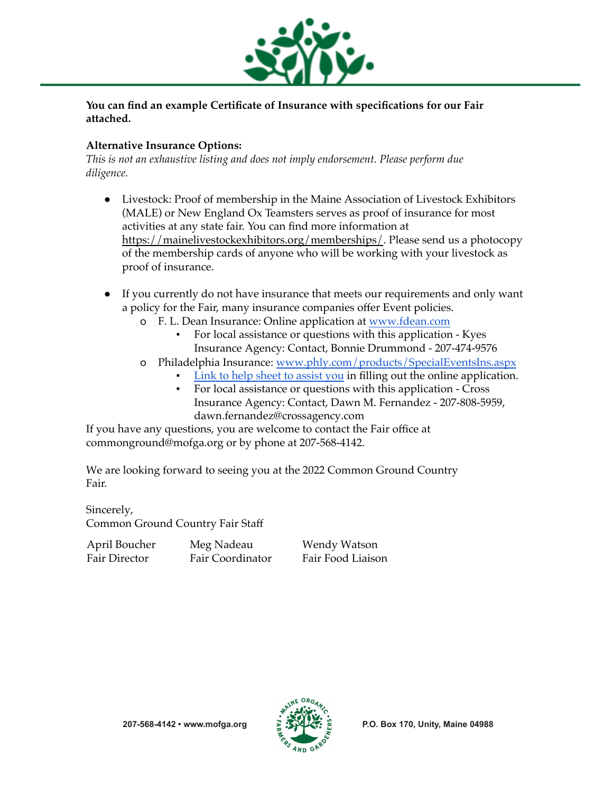

**You can find an example Certificate of Insurance with specifications for our Fair attached.**

## **Alternative Insurance Options:**

*This is not an exhaustive listing and does not imply endorsement. Please perform due diligence.*

- Livestock: Proof of membership in the Maine Association of Livestock Exhibitors (MALE) or New England Ox Teamsters serves as proof of insurance for most activities at any state fair. You can find more information at https://mainelivestockexhibitors.org/memberships/. Please send us a photocopy of the membership cards of anyone who will be working with your livestock as proof of insurance.
- If you currently do not have insurance that meets our requirements and only want a policy for the Fair, many insurance companies offer Event policies.
	- o F. L. Dean Insurance: Online application at [www.fdean.com](http://www.fdean.com)
		- For local assistance or questions with this application Kyes Insurance Agency: Contact, Bonnie Drummond - 207-474-9576
	- o Philadelphia Insurance: [www.phly.com/products/SpecialEventsIns.aspx](http://www.phly.com/products/SpecialEventsIns.aspx)
		- [Link to help sheet to assist you](https://drive.google.com/file/d/1fqjrbpExwXmJ84hlc9jwnZjmWaroRlz9/view?usp=sharing) in filling out the online application.
			- For local assistance or questions with this application Cross Insurance Agency: Contact, Dawn M. Fernandez - 207-808-5959, dawn.fernandez@crossagency.com

If you have any questions, you are welcome to contact the Fair office at commonground@mofga.org or by phone at 207-568-4142.

We are looking forward to seeing you at the 2022 Common Ground Country Fair.

Sincerely, Common Ground Country Fair Staff

April Boucher Fair Director

Meg Nadeau Fair Coordinator Wendy Watson Fair Food Liaison